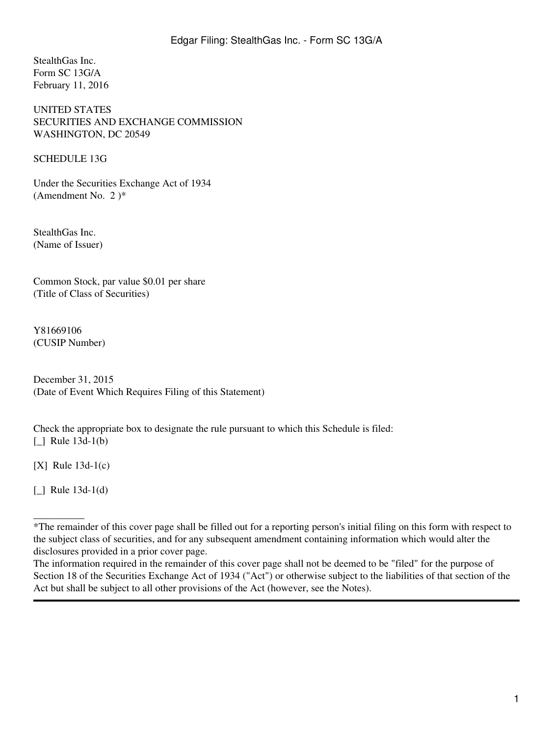StealthGas Inc. Form SC 13G/A February 11, 2016

UNITED STATES SECURITIES AND EXCHANGE COMMISSION WASHINGTON, DC 20549

SCHEDULE 13G

Under the Securities Exchange Act of 1934 (Amendment No. 2 )\*

StealthGas Inc. (Name of Issuer)

Common Stock, par value \$0.01 per share (Title of Class of Securities)

Y81669106 (CUSIP Number)

December 31, 2015 (Date of Event Which Requires Filing of this Statement)

Check the appropriate box to designate the rule pursuant to which this Schedule is filed: [ ] Rule 13d-1(b)

 $[X]$  Rule 13d-1(c)

[\_] Rule 13d-1(d)

 $\overline{\phantom{a}}$ 

<sup>\*</sup>The remainder of this cover page shall be filled out for a reporting person's initial filing on this form with respect to the subject class of securities, and for any subsequent amendment containing information which would alter the disclosures provided in a prior cover page.

The information required in the remainder of this cover page shall not be deemed to be "filed" for the purpose of Section 18 of the Securities Exchange Act of 1934 ("Act") or otherwise subject to the liabilities of that section of the Act but shall be subject to all other provisions of the Act (however, see the Notes).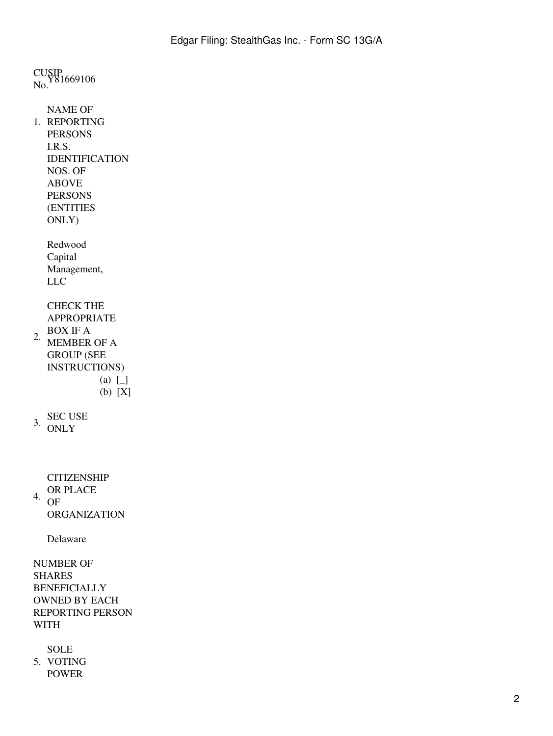CUSIP<br>No. <sup>Y81669106</sup> 1. REPORTING NAME OF PERSONS I.R.S. IDENTIFICATION NOS. OF ABOVE PERSONS (ENTITIES ONLY) Redwood Capital Management, LLC 2. CHECK THE APPROPRIATE BOX IF A MEMBER OF A GROUP (SEE INSTRUCTIONS) (a) [\_] (b) [X]  $3.$  SEC USE **ONLY** 4. **CITIZENSHIP** OR PLACE OF ORGANIZATION Delaware NUMBER OF SHARES BENEFICIALLY OWNED BY EACH REPORTING PERSON WITH 5. VOTING SOLE POWER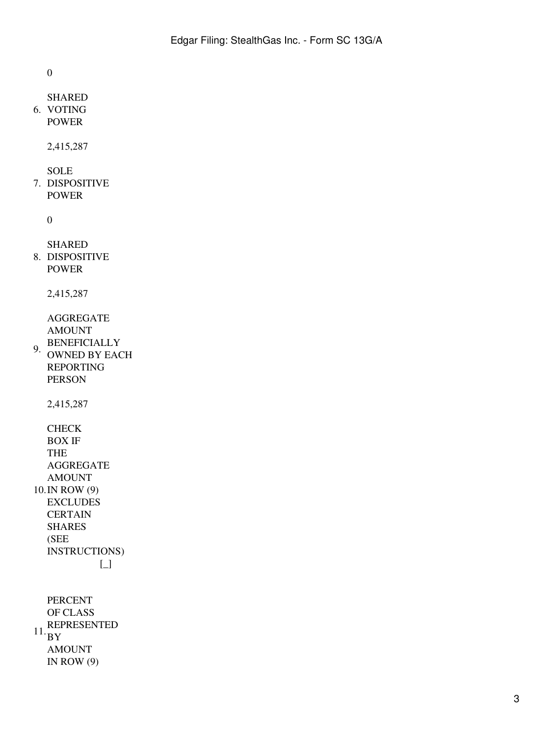0

```
6.
VOTING
 SHARED
 POWER
```
2,415,287

SOLE

7. DISPOSITIVE POWER

0

```
8.
DISPOSITIVE
  SHARED
 POWER
```
2,415,287

AGGREGATE AMOUNT

9. BENEFICIALLY OWNED BY EACH REPORTING PERSON

2,415,287

```
10.
IN ROW (9)
 CHECK
  BOX IF
 THE
  AGGREGATE
  AMOUNT
 EXCLUDES
 CERTAIN
  SHARES
  (SEE
  INSTRUCTIONS)
           [_]
```
 $11.$ BY PERCENT OF CLASS REPRESENTED AMOUNT IN ROW  $(9)$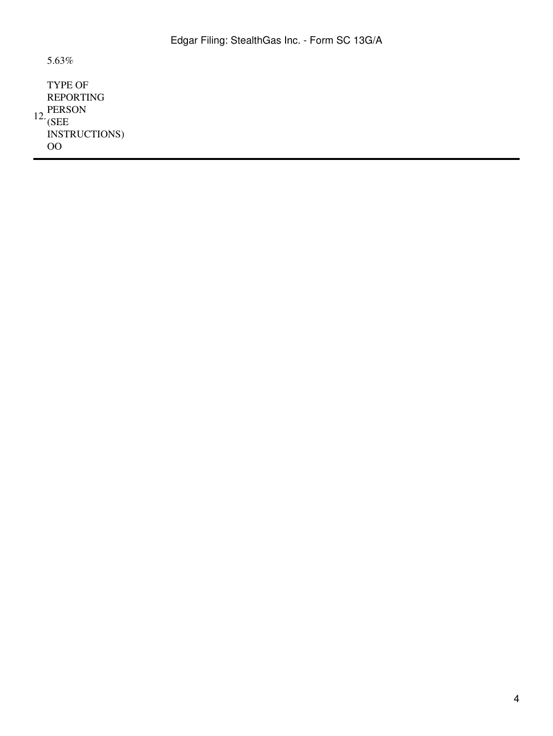5.63%

 $12.\overline{\text{CPE}}$ TYPE OF REPORTING (SEE INSTRUCTIONS) OO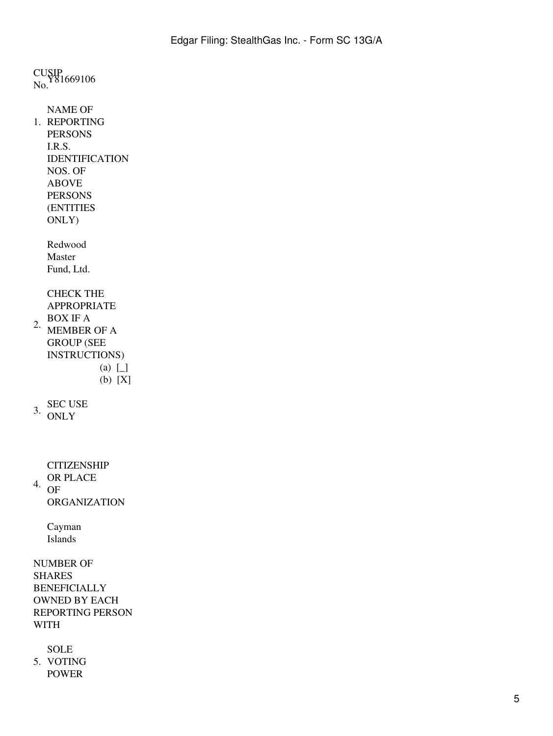CUSIP<br>No. <sup>Y81669106</sup> 1. REPORTING NAME OF PERSONS I.R.S. IDENTIFICATION NOS. OF ABOVE PERSONS (ENTITIES ONLY) Redwood Master Fund, Ltd. 2. CHECK THE APPROPRIATE BOX IF A MEMBER OF A GROUP (SEE INSTRUCTIONS) (a) [\_] (b) [X]  $3.$  SEC USE **ONLY** 4. **CITIZENSHIP** OR PLACE OF ORGANIZATION Cayman Islands NUMBER OF SHARES BENEFICIALLY OWNED BY EACH REPORTING PERSON WITH 5. VOTING SOLE POWER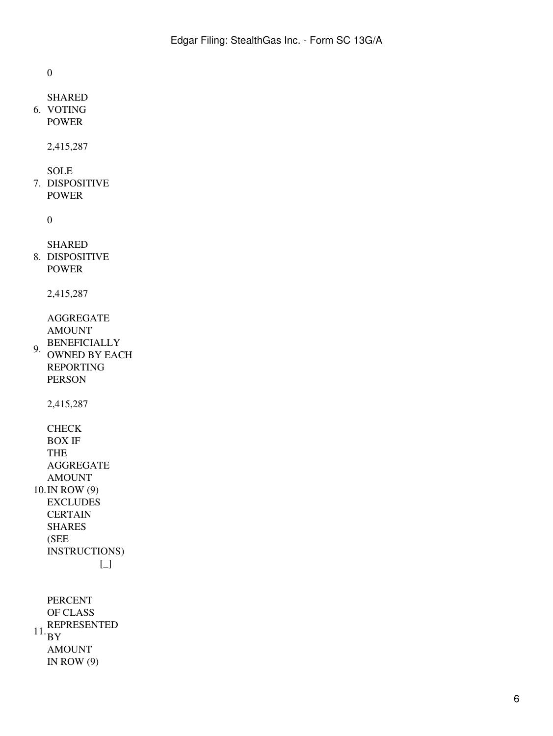0

```
6.
VOTING
 SHARED
 POWER
```
2,415,287

SOLE

7. DISPOSITIVE POWER

0

```
8.
DISPOSITIVE
  SHARED
 POWER
```
2,415,287

AGGREGATE AMOUNT

9. BENEFICIALLY OWNED BY EACH REPORTING PERSON

2,415,287

```
10.
IN ROW (9)
 CHECK
  BOX IF
 THE
  AGGREGATE
  AMOUNT
 EXCLUDES
 CERTAIN
  SHARES
  (SEE
  INSTRUCTIONS)
           [_]
```
 $11.$ BY PERCENT OF CLASS REPRESENTED AMOUNT IN ROW  $(9)$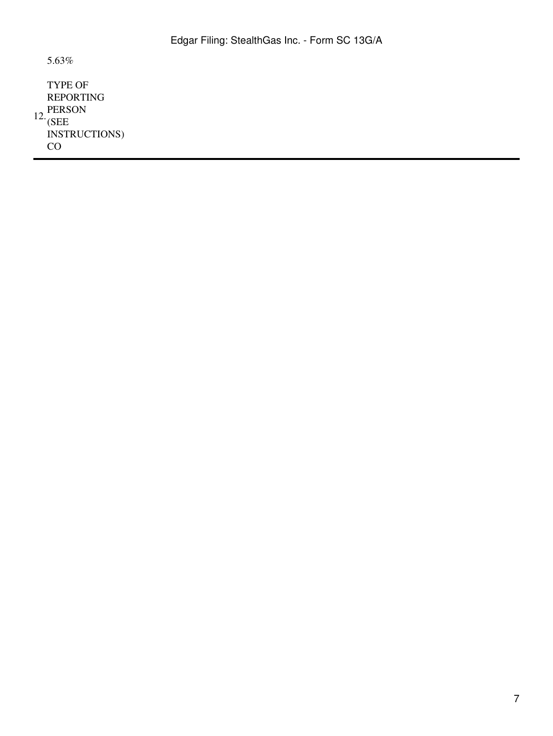5.63%

 $12.\overline{\text{CPE}}$ TYPE OF REPORTING (SEE INSTRUCTIONS) CO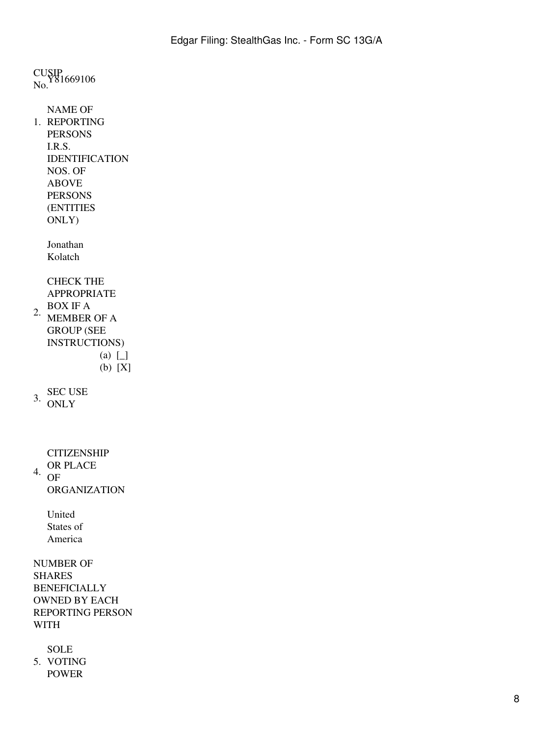CUSIP<br>No. <sup>Y81669106</sup> 1. REPORTING NAME OF PERSONS I.R.S. IDENTIFICATION NOS. OF ABOVE PERSONS (ENTITIES ONLY) Jonathan Kolatch 2. CHECK THE APPROPRIATE BOX IF A MEMBER OF A GROUP (SEE INSTRUCTIONS)  $(a)$   $\Box$ (b) [X]  $3.$  SEC USE **ONLY** 4. **CITIZENSHIP** OR PLACE OF ORGANIZATION United States of America NUMBER OF SHARES BENEFICIALLY OWNED BY EACH REPORTING PERSON WITH SOLE

5. VOTING

POWER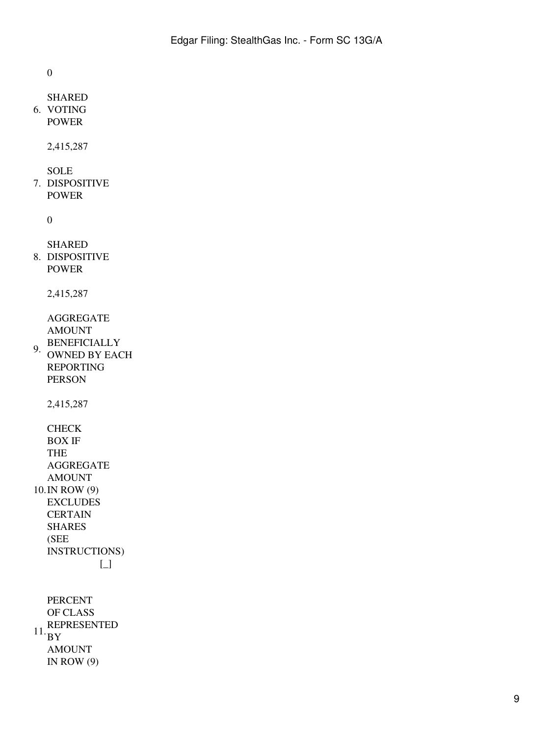0

```
6.
VOTING
 SHARED
 POWER
```
2,415,287

SOLE

7. DISPOSITIVE POWER

0

```
8.
DISPOSITIVE
  SHARED
 POWER
```
2,415,287

AGGREGATE AMOUNT

9. BENEFICIALLY OWNED BY EACH REPORTING PERSON

2,415,287

```
10.
IN ROW (9)
 CHECK
  BOX IF
 THE
  AGGREGATE
  AMOUNT
 EXCLUDES
 CERTAIN
  SHARES
  (SEE
  INSTRUCTIONS)
           [_]
```
 $11.$ BY PERCENT OF CLASS REPRESENTED AMOUNT IN ROW  $(9)$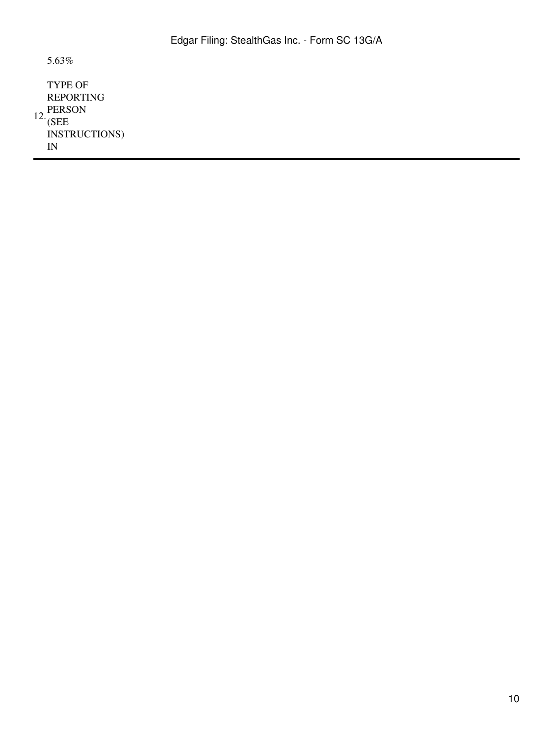5.63%

 $12.\overline{\text{CPE}}$ TYPE OF REPORTING (SEE INSTRUCTIONS) IN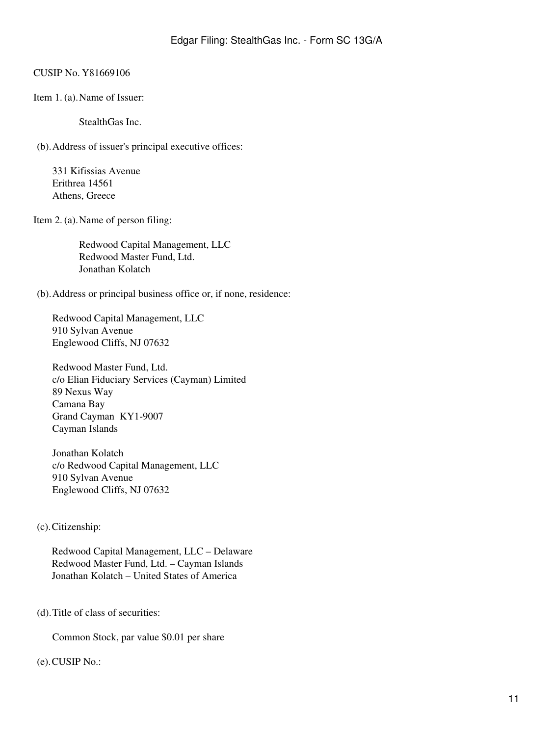## CUSIP No. Y81669106

Item 1. (a).Name of Issuer:

StealthGas Inc.

(b).Address of issuer's principal executive offices:

331 Kifissias Avenue Erithrea 14561 Athens, Greece

Item 2. (a).Name of person filing:

Redwood Capital Management, LLC Redwood Master Fund, Ltd. Jonathan Kolatch

(b).Address or principal business office or, if none, residence:

Redwood Capital Management, LLC 910 Sylvan Avenue Englewood Cliffs, NJ 07632

Redwood Master Fund, Ltd. c/o Elian Fiduciary Services (Cayman) Limited 89 Nexus Way Camana Bay Grand Cayman KY1-9007 Cayman Islands

Jonathan Kolatch c/o Redwood Capital Management, LLC 910 Sylvan Avenue Englewood Cliffs, NJ 07632

# (c).Citizenship:

Redwood Capital Management, LLC – Delaware Redwood Master Fund, Ltd. – Cayman Islands Jonathan Kolatch – United States of America

(d).Title of class of securities:

Common Stock, par value \$0.01 per share

### (e).CUSIP No.: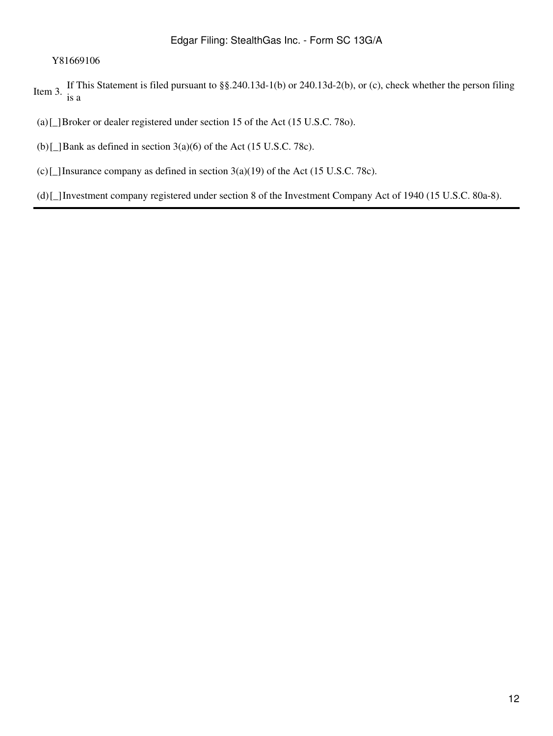### Y81669106

Item 3. If This Statement is filed pursuant to §§.240.13d-1(b) or 240.13d-2(b), or (c), check whether the person filing is a

(a)[\_]Broker or dealer registered under section 15 of the Act (15 U.S.C. 78o).

(b) $\Box$ Bank as defined in section 3(a)(6) of the Act (15 U.S.C. 78c).

(c)[\_]Insurance company as defined in section  $3(a)(19)$  of the Act (15 U.S.C. 78c).

(d)[\_]Investment company registered under section 8 of the Investment Company Act of 1940 (15 U.S.C. 80a-8).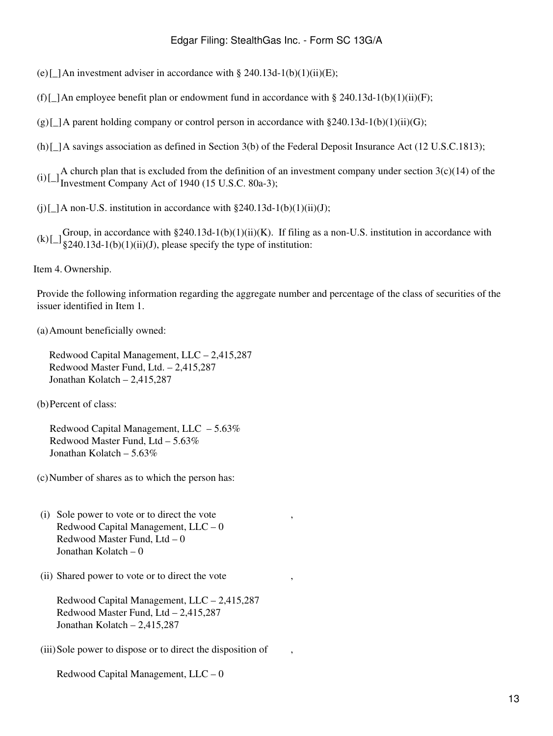(e)[ $\Box$ ]An investment adviser in accordance with § 240.13d-1(b)(1)(ii)(E);

- (f)[ $\Delta$ n employee benefit plan or endowment fund in accordance with § 240.13d-1(b)(1)(ii)(F);
- $(g)[\Box]$ A parent holding company or control person in accordance with §240.13d-1(b)(1)(ii)(G);
- (h)[ $\Delta$  savings association as defined in Section 3(b) of the Federal Deposit Insurance Act (12 U.S.C.1813);
- (i)  $\Box$ <sup>A</sup> church plan that is excluded from the definition of an investment company under section 3(c)(14) of the Investment Company Act of 1940 (15 U.S.C. 80a-3);
- (i)[ $\Delta$  non-U.S. institution in accordance with §240.13d-1(b)(1)(ii)(J);
- (k)[ $\Box$  Group, in accordance with §240.13d-1(b)(1)(ii)(K). If filing as a non-U.S. institution in accordance with §240.13d-1(b)(1)(ii)(J), please specify the type of institution:

Item 4. Ownership.

Provide the following information regarding the aggregate number and percentage of the class of securities of the issuer identified in Item 1.

(a)Amount beneficially owned:

Redwood Capital Management, LLC – 2,415,287 Redwood Master Fund, Ltd. – 2,415,287 Jonathan Kolatch – 2,415,287

(b)Percent of class:

Redwood Capital Management, LLC – 5.63% Redwood Master Fund, Ltd – 5.63% Jonathan Kolatch –  $5.63\%$ 

(c)Number of shares as to which the person has:

- (i) Sole power to vote or to direct the vote Redwood Capital Management, LLC – 0 Redwood Master Fund, Ltd – 0 Jonathan Kolatch – 0
- (ii) Shared power to vote or to direct the vote

Redwood Capital Management, LLC – 2,415,287 Redwood Master Fund, Ltd – 2,415,287 Jonathan Kolatch – 2,415,287

(iii)Sole power to dispose or to direct the disposition of ,

Redwood Capital Management, LLC – 0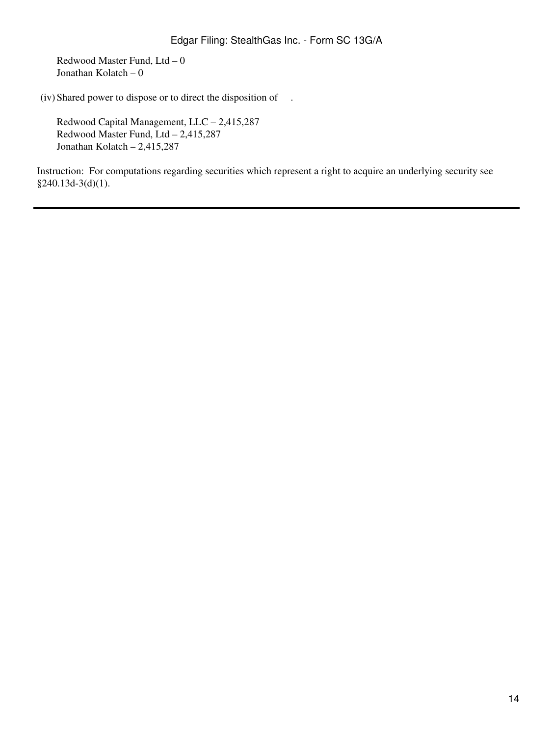Redwood Master Fund, Ltd – 0 Jonathan Kolatch – 0

(iv) Shared power to dispose or to direct the disposition of .

Redwood Capital Management, LLC – 2,415,287 Redwood Master Fund, Ltd – 2,415,287 Jonathan Kolatch – 2,415,287

Instruction: For computations regarding securities which represent a right to acquire an underlying security see §240.13d-3(d)(1).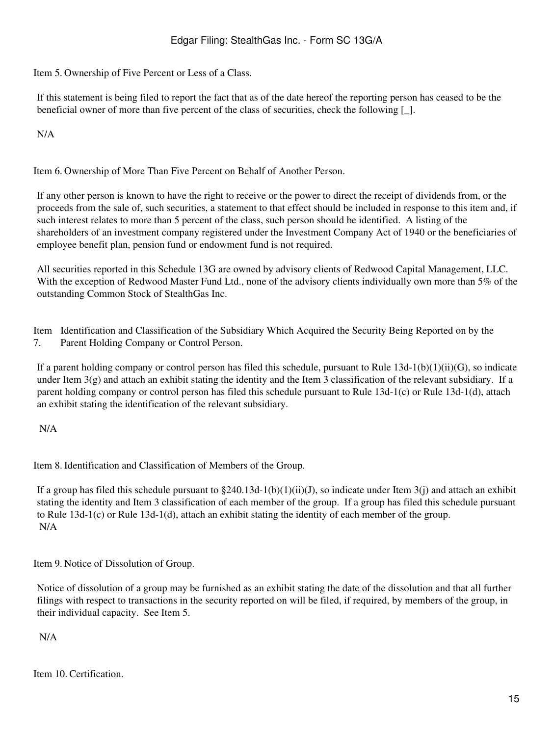Item 5. Ownership of Five Percent or Less of a Class.

If this statement is being filed to report the fact that as of the date hereof the reporting person has ceased to be the beneficial owner of more than five percent of the class of securities, check the following  $\lceil \cdot \rceil$ .

N/A

Item 6. Ownership of More Than Five Percent on Behalf of Another Person.

If any other person is known to have the right to receive or the power to direct the receipt of dividends from, or the proceeds from the sale of, such securities, a statement to that effect should be included in response to this item and, if such interest relates to more than 5 percent of the class, such person should be identified. A listing of the shareholders of an investment company registered under the Investment Company Act of 1940 or the beneficiaries of employee benefit plan, pension fund or endowment fund is not required.

All securities reported in this Schedule 13G are owned by advisory clients of Redwood Capital Management, LLC. With the exception of Redwood Master Fund Ltd., none of the advisory clients individually own more than 5% of the outstanding Common Stock of StealthGas Inc.

Item Identification and Classification of the Subsidiary Which Acquired the Security Being Reported on by the 7. Parent Holding Company or Control Person.

If a parent holding company or control person has filed this schedule, pursuant to Rule  $13d-1(b)(1)(ii)(G)$ , so indicate under Item  $3(g)$  and attach an exhibit stating the identity and the Item 3 classification of the relevant subsidiary. If a parent holding company or control person has filed this schedule pursuant to Rule 13d-1(c) or Rule 13d-1(d), attach an exhibit stating the identification of the relevant subsidiary.

N/A

Item 8. Identification and Classification of Members of the Group.

If a group has filed this schedule pursuant to  $\S240.13d-1(b)(1)(ii)(J)$ , so indicate under Item 3(j) and attach an exhibit stating the identity and Item 3 classification of each member of the group. If a group has filed this schedule pursuant to Rule 13d-1(c) or Rule 13d-1(d), attach an exhibit stating the identity of each member of the group. N/A

Item 9. Notice of Dissolution of Group.

Notice of dissolution of a group may be furnished as an exhibit stating the date of the dissolution and that all further filings with respect to transactions in the security reported on will be filed, if required, by members of the group, in their individual capacity. See Item 5.

N/A

Item 10. Certification.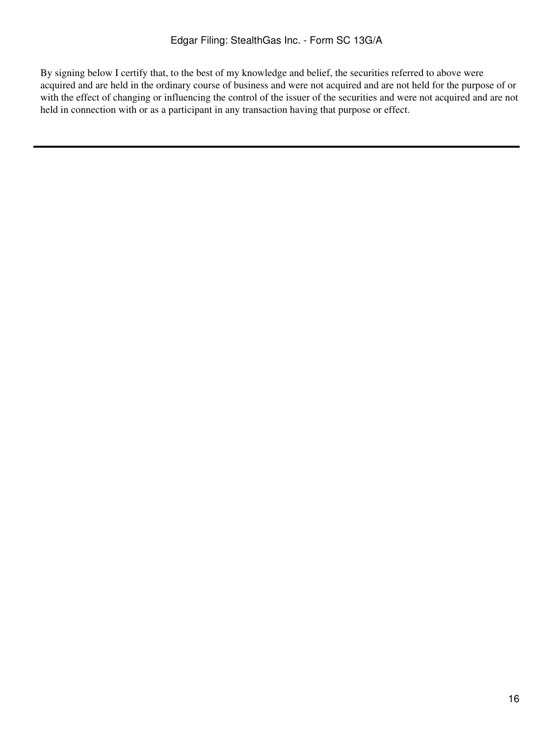By signing below I certify that, to the best of my knowledge and belief, the securities referred to above were acquired and are held in the ordinary course of business and were not acquired and are not held for the purpose of or with the effect of changing or influencing the control of the issuer of the securities and were not acquired and are not held in connection with or as a participant in any transaction having that purpose or effect.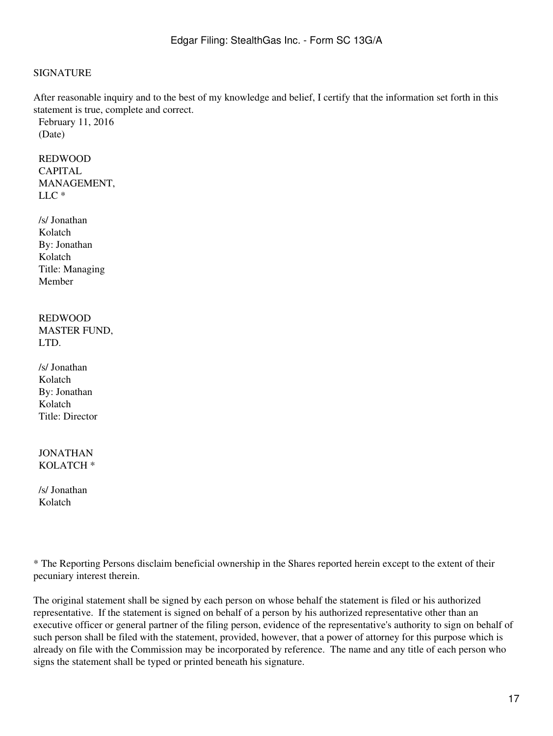### SIGNATURE

After reasonable inquiry and to the best of my knowledge and belief, I certify that the information set forth in this statement is true, complete and correct.

February 11, 2016 (Date)

REDWOOD CAPITAL MANAGEMENT, LLC \*

/s/ Jonathan Kolatch By: Jonathan Kolatch Title: Managing Member

### REDWOOD MASTER FUND, LTD.

/s/ Jonathan Kolatch By: Jonathan Kolatch Title: Director

JONATHAN KOLATCH \*

/s/ Jonathan Kolatch

\* The Reporting Persons disclaim beneficial ownership in the Shares reported herein except to the extent of their pecuniary interest therein.

The original statement shall be signed by each person on whose behalf the statement is filed or his authorized representative. If the statement is signed on behalf of a person by his authorized representative other than an executive officer or general partner of the filing person, evidence of the representative's authority to sign on behalf of such person shall be filed with the statement, provided, however, that a power of attorney for this purpose which is already on file with the Commission may be incorporated by reference. The name and any title of each person who signs the statement shall be typed or printed beneath his signature.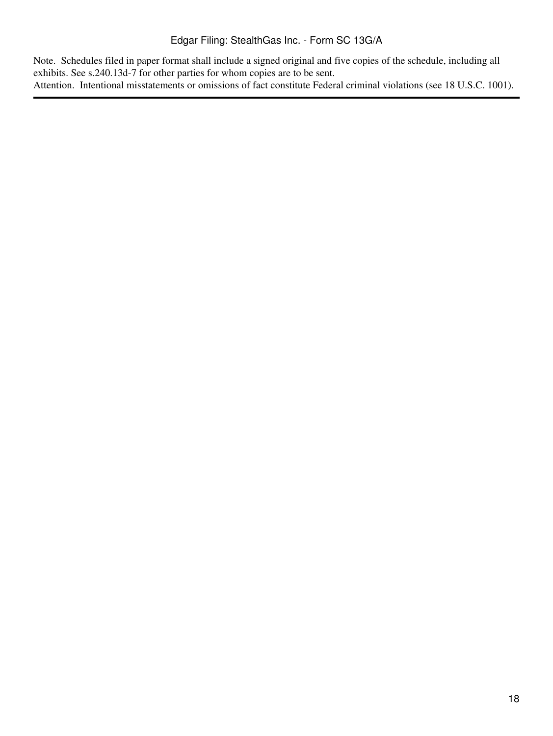Note. Schedules filed in paper format shall include a signed original and five copies of the schedule, including all exhibits. See s.240.13d-7 for other parties for whom copies are to be sent. Attention. Intentional misstatements or omissions of fact constitute Federal criminal violations (see 18 U.S.C. 1001).